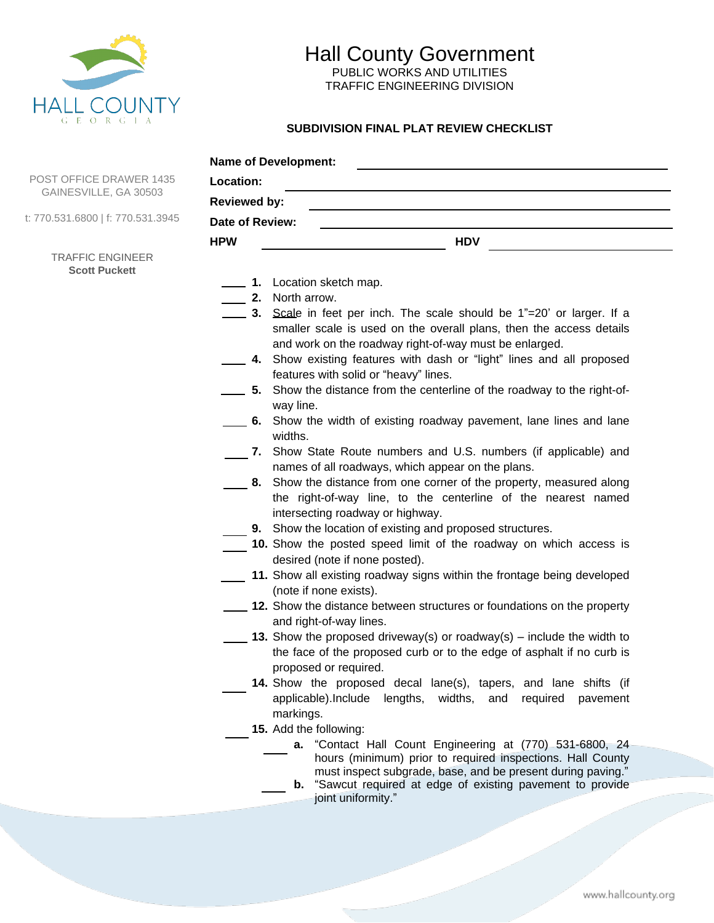

## Hall County Government PUBLIC WORKS AND UTILITIES

TRAFFIC ENGINEERING DIVISION

## **SUBDIVISION FINAL PLAT REVIEW CHECKLIST**

|                                                         | <b>Name of Development:</b>                                                                                                                                                                                                                                                                                                                                                                                                                                                                                                                                                                                                                                                                                                                                                                                                                                                                                                                                                                                                                                                                                                             |
|---------------------------------------------------------|-----------------------------------------------------------------------------------------------------------------------------------------------------------------------------------------------------------------------------------------------------------------------------------------------------------------------------------------------------------------------------------------------------------------------------------------------------------------------------------------------------------------------------------------------------------------------------------------------------------------------------------------------------------------------------------------------------------------------------------------------------------------------------------------------------------------------------------------------------------------------------------------------------------------------------------------------------------------------------------------------------------------------------------------------------------------------------------------------------------------------------------------|
| <b>POST OFFICE DRAWER 1435</b><br>GAINESVILLE, GA 30503 | Location:<br><u> 1980 - Johann Stein, marwolaethau (b. 1980)</u>                                                                                                                                                                                                                                                                                                                                                                                                                                                                                                                                                                                                                                                                                                                                                                                                                                                                                                                                                                                                                                                                        |
|                                                         | <b>Reviewed by:</b>                                                                                                                                                                                                                                                                                                                                                                                                                                                                                                                                                                                                                                                                                                                                                                                                                                                                                                                                                                                                                                                                                                                     |
| : 770.531.6800   f: 770.531.3945                        | Date of Review:                                                                                                                                                                                                                                                                                                                                                                                                                                                                                                                                                                                                                                                                                                                                                                                                                                                                                                                                                                                                                                                                                                                         |
|                                                         | <b>HPW</b><br><b>HDV</b>                                                                                                                                                                                                                                                                                                                                                                                                                                                                                                                                                                                                                                                                                                                                                                                                                                                                                                                                                                                                                                                                                                                |
| <b>TRAFFIC ENGINEER</b><br><b>Scott Puckett</b>         | 1. Location sketch map.<br><b>2.</b> North arrow.<br>3. Scale in feet per inch. The scale should be 1"=20' or larger. If a<br>smaller scale is used on the overall plans, then the access details<br>and work on the roadway right-of-way must be enlarged.<br>4. Show existing features with dash or "light" lines and all proposed<br>features with solid or "heavy" lines.<br>5. Show the distance from the centerline of the roadway to the right-of-<br>way line.<br>6. Show the width of existing roadway pavement, lane lines and lane<br>widths.<br>7. Show State Route numbers and U.S. numbers (if applicable) and<br>names of all roadways, which appear on the plans.<br>8. Show the distance from one corner of the property, measured along<br>the right-of-way line, to the centerline of the nearest named<br>intersecting roadway or highway.<br>9. Show the location of existing and proposed structures.<br>10. Show the posted speed limit of the roadway on which access is<br>desired (note if none posted).<br>11. Show all existing roadway signs within the frontage being developed<br>(note if none exists). |
|                                                         | 12. Show the distance between structures or foundations on the property<br>and right-of-way lines.                                                                                                                                                                                                                                                                                                                                                                                                                                                                                                                                                                                                                                                                                                                                                                                                                                                                                                                                                                                                                                      |

- **13.** Show the proposed driveway(s) or roadway(s) include the width to the face of the proposed curb or to the edge of asphalt if no curb is proposed or required.
	- **14.** Show the proposed decal lane(s), tapers, and lane shifts (if applicable).Include lengths, widths, and required pavement markings.
- **15.** Add the following:
	- **a.** "Contact Hall Count Engineering at (770) 531-6800, 24 hours (minimum) prior to required inspections. Hall County must inspect subgrade, base, and be present during paving."
	- **b.** "Sawcut required at edge of existing pavement to provide joint uniformity."